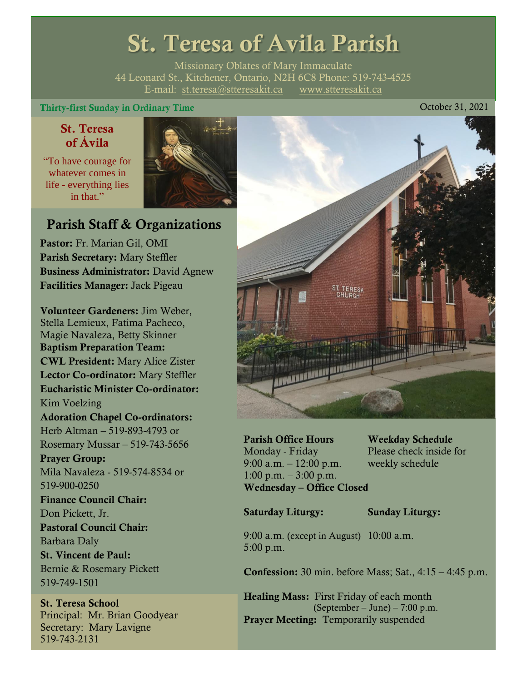# St. Teresa of Avila Parish

Missionary Oblates of Mary Immaculate 44 Leonard St., Kitchener, Ontario, N2H 6C8 Phone: 519-743-4525 E-mail: [st.teresa@stteresakit.ca](mailto:st.teresa@stteresakit.ca) [www.stteresakit.ca](http://www.stteresakit.ca/)

#### Thirty-first Sunday in Ordinary Time October 31, 2021

#### St. Teresa of Ávila

"To have courage for whatever comes in life - everything lies in that"



## Parish Staff & Organizations

Pastor: Fr. Marian Gil, OMI Parish Secretary: Mary Steffler Business Administrator: David Agnew Facilities Manager: Jack Pigeau

Volunteer Gardeners: Jim Weber, Stella Lemieux, Fatima Pacheco, Magie Navaleza, Betty Skinner Baptism Preparation Team: CWL President: Mary Alice Zister Lector Co-ordinator: Mary Steffler Eucharistic Minister Co-ordinator: Kim Voelzing Adoration Chapel Co-ordinators: Herb Altman – 519-893-4793 or Rosemary Mussar – 519-743-5656 Prayer Group: Mila Navaleza - 519-574-8534 or 519-900-0250 Finance Council Chair: Don Pickett, Jr. Pastoral Council Chair: Barbara Daly St. Vincent de Paul: Bernie & Rosemary Pickett 519-749-1501

St. Teresa School Principal: Mr. Brian Goodyear Secretary: Mary Lavigne 519-743-2131



Parish Office Hours Weekday Schedule Monday - Friday Please check inside for 9:00 a.m. – 12:00 p.m. weekly schedule  $1:00 \text{ p.m.} - 3:00 \text{ p.m.}$ Wednesday – Office Closed

Saturday Liturgy: Sunday Liturgy:

9:00 a.m. (except in August) 10:00 a.m. 5:00 p.m.

Confession: 30 min. before Mass; Sat., 4:15 – 4:45 p.m.

Healing Mass: First Friday of each month (September – June) – 7:00 p.m. Prayer Meeting: Temporarily suspended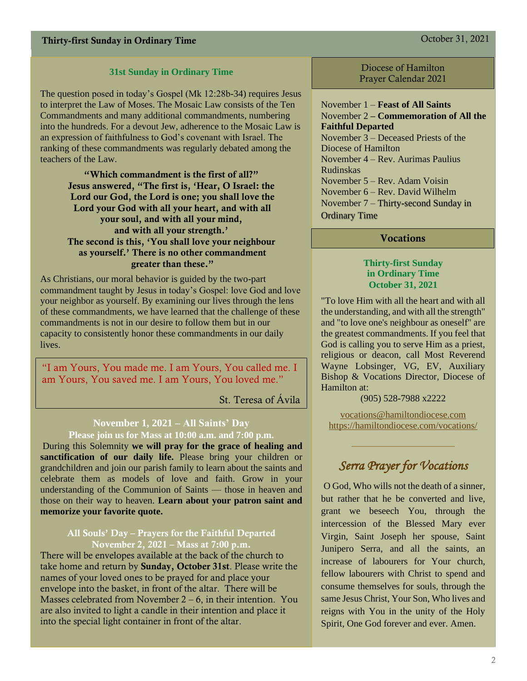#### **31st Sunday in Ordinary Time**

The question posed in today's Gospel (Mk 12:28b-34) requires Jesus to interpret the Law of Moses. The Mosaic Law consists of the Ten Commandments and many additional commandments, numbering into the hundreds. For a devout Jew, adherence to the Mosaic Law is an expression of faithfulness to God's covenant with Israel. The ranking of these commandments was regularly debated among the teachers of the Law.

> "Which commandment is the first of all?" Jesus answered, "The first is, 'Hear, O Israel: the Lord our God, the Lord is one; you shall love the Lord your God with all your heart, and with all your soul, and with all your mind, and with all your strength.' The second is this, 'You shall love your neighbour as yourself.' There is no other commandment greater than these."

As Christians, our moral behavior is guided by the two-part commandment taught by Jesus in today's Gospel: love God and love your neighbor as yourself. By examining our lives through the lens of these commandments, we have learned that the challenge of these commandments is not in our desire to follow them but in our capacity to consistently honor these commandments in our daily lives.

"I am Yours, You made me. I am Yours, You called me. I am Yours, You saved me. I am Yours, You loved me."

St. Teresa of Ávila

### **November 1, 2021 – All Saints' Day**

**Please join us for Mass at 10:00 a.m. and 7:00 p.m.**

During this Solemnity **we will pray for the grace of healing and sanctification of our daily life.** Please bring your children or grandchildren and join our parish family to learn about the saints and celebrate them as models of love and faith. Grow in your understanding of the Communion of Saints — those in heaven and those on their way to heaven. **Learn about your patron saint and memorize your favorite quote.**

#### All Souls' Day – Prayers for the Faithful Departed November 2, 2021 – Mass at 7:00 p.m.

There will be envelopes available at the back of the church to take home and return by Sunday, October 31st. Please write the names of your loved ones to be prayed for and place your envelope into the basket, in front of the altar. There will be Masses celebrated from November  $2 - 6$ , in their intention. You are also invited to light a candle in their intention and place it into the special light container in front of the altar.

Diocese of Hamilton Prayer Calendar 2021

November 1 – **Feast of All Saints** November 2 **– Commemoration of All the Faithful Departed** November  $3$  – Deceased Priests of the Diocese of Hamilton November 4 – Rev. Aurimas Paulius Rudinskas November 5 – Rev. Adam Voisin November 6 – Rev. David Wilhelm

November 7 – Thirty-second Sunday in Ordinary Time

#### **Vocations**

#### **Thirty-first Sunday in Ordinary Time October 31, 2021**

"To love Him with all the heart and with all the understanding, and with all the strength" and "to love one's neighbour as oneself" are the greatest commandments. If you feel that God is calling you to serve Him as a priest, religious or deacon, call Most Reverend Wayne Lobsinger, VG, EV, Auxiliary Bishop & Vocations Director, Diocese of Hamilton at:

(905) 528-7988 x2222

[vocations@hamiltondiocese.com](mailto:vocations@hamiltondiocese.com)  <https://hamiltondiocese.com/vocations/>

## *Serra Prayer for Vocations*

O God, Who wills not the death of a sinner, but rather that he be converted and live, grant we beseech You, through the intercession of the Blessed Mary ever Virgin, Saint Joseph her spouse, Saint Junipero Serra, and all the saints, an increase of labourers for Your church, fellow labourers with Christ to spend and consume themselves for souls, through the same Jesus Christ, Your Son, Who lives and reigns with You in the unity of the Holy Spirit, One God forever and ever. Amen.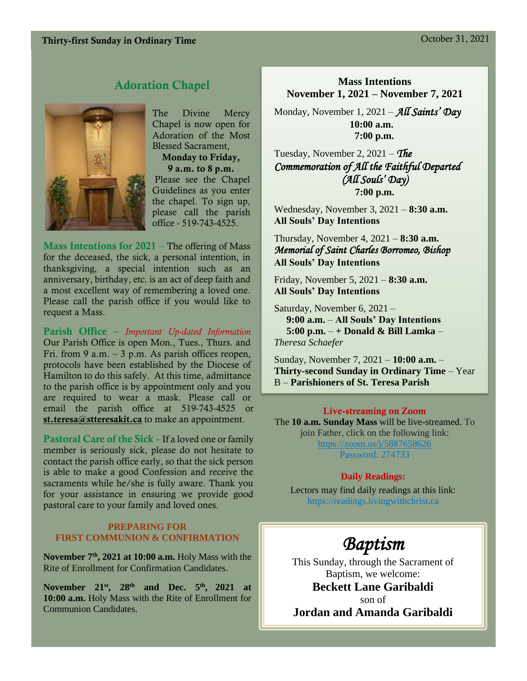#### Thirty-first Sunday in Ordinary Time Contract Contract Contract Contract Contract Contract Contract Contract Contract Contract Contract Contract Contract Contract Contract Contract Contract Contract Contract Contract Contr

#### Adoration Chapel



The Divine Mercy Chapel is now open for Adoration of the Most Blessed Sacrament,

Monday to Friday, 9 a.m. to 8 p.m.

Please see the Chapel Guidelines as you enter the chapel. To sign up, please call the parish office - 519-743-4525.

Mass Intentions for 2021 – The offering of Mass for the deceased, the sick, a personal intention, in thanksgiving, a special intention such as an anniversary, birthday, etc. is an act of deep faith and a most excellent way of remembering a loved one. Please call the parish office if you would like to request a Mass.

Parish Office – *Important Up-dated Information*  Our Parish Office is open Mon., Tues., Thurs. and Fri. from 9 a.m.  $-3$  p.m. As parish offices reopen, protocols have been established by the Diocese of Hamilton to do this safely. At this time, admittance to the parish office is by appointment only and you are required to wear a mask. Please call or email the parish office at 519-743-4525 or [st.teresa@stteresakit.ca](mailto:st.teresa@stteresakit.ca) to make an appointment.

Pastoral Care of the Sick – If a loved one or family member is seriously sick, please do not hesitate to contact the parish office early, so that the sick person is able to make a good Confession and receive the sacraments while he/she is fully aware. Thank you for your assistance in ensuring we provide good pastoral care to your family and loved ones.

#### **PREPARING FOR FIRST COMMUNION & CONFIRMATION**

**November 7th, 2021 at 10:00 a.m.** Holy Mass with the Rite of Enrollment for Confirmation Candidates.

**November 21st, 28th and Dec. 5th , 2021 at 10:00 a.m.** Holy Mass with the Rite of Enrollment for Communion Candidates.

#### **Mass Intentions November 1, 2021 – November 7, 2021**

Monday, November 1, 2021 – *All Saints' Day*  **10:00 a.m. 7:00 p.m.**

Tuesday, November 2, 2021 – *The Commemoration of All the Faithful Departed (All Souls' Day)* **7:00 p.m.**

Wednesday, November 3, 2021 – **8:30 a.m. All Souls' Day Intentions**

Thursday, November 4, 2021 – **8:30 a.m.** *Memorial of Saint Charles Borromeo, Bishop*  **All Souls' Day Intentions**

Friday, November 5, 2021 – **8:30 a.m. All Souls' Day Intentions**

Saturday, November 6, 2021 –  **9:00 a.m.** – **All Souls' Day Intentions 5:00 p.m.** – **+ Donald & Bill Lamka** – *Theresa Schaefer*

Sunday, November 7, 2021 – **10:00 a.m.** – **Thirty-second Sunday in Ordinary Time** – Year B – **Parishioners of St. Teresa Parish** 

#### Live-streaming on Zoom

The **10 a.m. Sunday Mass** will be live-streamed. To join Father, click on the following link: <https://zoom.us/j/5887658626> Password: 274733

#### **Daily Readings:**

Lectors may find daily readings at this link: https://readings.livingwithchrist.ca

## *Baptism*

This Sunday, through the Sacrament of Baptism, we welcome: **Beckett Lane Garibaldi** son of

**Jordan and Amanda Garibaldi**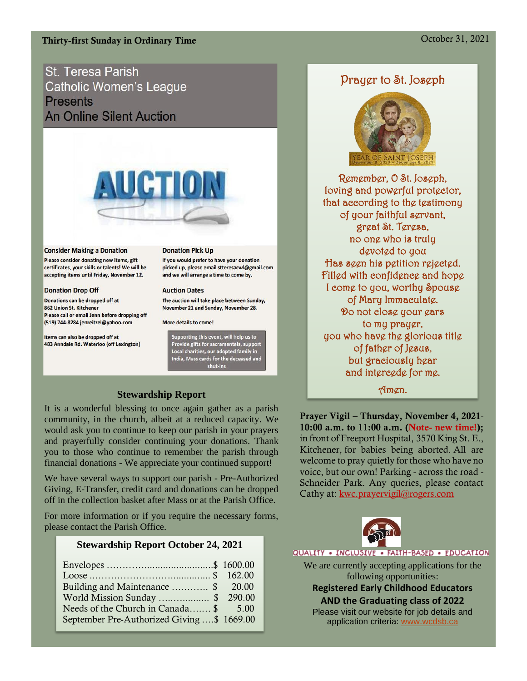#### Thirty-first Sunday in Ordinary Time Contract Contract Contract Contract Contract Contract Contract Contract Contract Contract Contract Contract Contract Contract Contract Contract Contract Contract Contract Contract Contr

St. Teresa Parish **Catholic Women's League Presents An Online Silent Auction** 



#### **Consider Making a Donation**

Please consider donating new items, gift certificates, your skills or talents! We will be accepting items until Friday, November 12.

#### **Donation Drop Off**

Donations can be dropped off at 862 Union St. Kitchener Please call or email Jenn before dropping off (519) 744-8284 jenreitzel@yahoo.com

Items can also be dropped off at 483 Anndale Rd. Waterloo (off Lexington)

#### **Donation Pick Up**

If you would prefer to have your donation picked up, please email stteresacwl@gmail.com and we will arrange a time to come by.

#### **Auction Dates**

The auction will take place between Sunday, November 21 and Sunday, November 28.

More details to come!

Supporting this event, will help us to<br>Provide gifts for sacramentals, support Local charities, our adopted family in<br>India, Mass cards for the deceased and shut-ins

#### **Stewardship Report**

It is a wonderful blessing to once again gather as a parish community, in the church, albeit at a reduced capacity. We would ask you to continue to keep our parish in your prayers and prayerfully consider continuing your donations. Thank you to those who continue to remember the parish through financial donations - We appreciate your continued support!

We have several ways to support our parish - Pre-Authorized Giving, E-Transfer, credit card and donations can be dropped off in the collection basket after Mass or at the Parish Office.

For more information or if you require the necessary forms, please contact the Parish Office.

#### **Stewardship Report October 24, 2021**

| Building and Maintenance  \$ 20.00         |  |
|--------------------------------------------|--|
| World Mission Sunday \$ 290.00             |  |
| Needs of the Church in Canada \$ 5.00      |  |
| September Pre-Authorized Giving \$ 1669.00 |  |

#### Prayer to St. Joseph



Remember, O St. Joseph, loving and powerful protector, that according to the testimony of your faithful servant, great St. Teresa, no one who is truly devoted to you Has seen his petition rejected. Filled with confidence and hope I come to you, worthy Spouse of Mary Immaculate. Do not close your ears to my prayer, you who have the glorious title of father of Jesus, but graciously hear and intercede for me.

Amen.

Prayer Vigil – Thursday, November 4, 2021- 10:00 a.m. to 11:00 a.m. (Note- new time!); in front of Freeport Hospital, 3570 King St. E., Kitchener, for babies being aborted. All are welcome to pray quietly for those who have no voice, but our own! Parking - across the road - Schneider Park. Any queries, please contact Cathy at: [kwc.prayervigil@rogers.com](mailto:kwc.prayervigil@rogers.com)



QUALITY . INCLUSIVE . FAITH-BASED . EDUCATION

We are currently accepting applications for the following opportunities:

**Registered Early Childhood Educators AND the Graduating class of 2022**

Please visit our website for job details and application criteria: [www.wcdsb.ca](http://www.wcdsb.ca/)